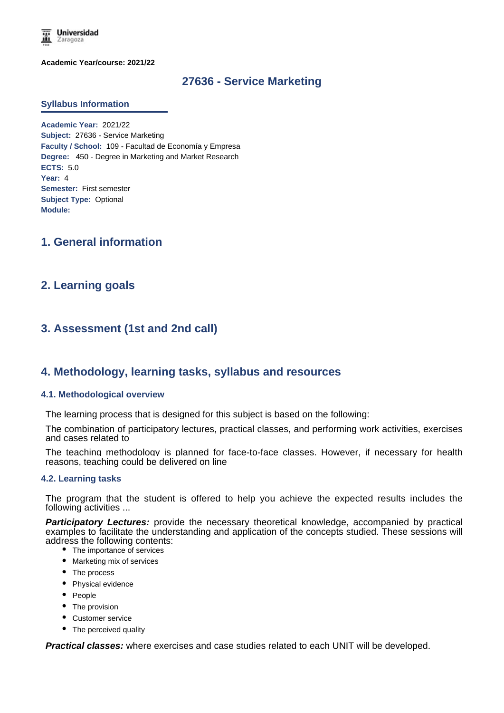

**Academic Year/course: 2021/22**

# **27636 - Service Marketing**

#### **Syllabus Information**

**Academic Year:** 2021/22 **Subject:** 27636 - Service Marketing **Faculty / School:** 109 - Facultad de Economía y Empresa **Degree:** 450 - Degree in Marketing and Market Research **ECTS:** 5.0 **Year:** 4 **Semester:** First semester **Subject Type:** Optional **Module:**

# **1. General information**

# **2. Learning goals**

# **3. Assessment (1st and 2nd call)**

# **4. Methodology, learning tasks, syllabus and resources**

#### **4.1. Methodological overview**

The learning process that is designed for this subject is based on the following:

The combination of participatory lectures, practical classes, and performing work activities, exercises and cases related to

The teaching methodology is planned for face-to-face classes. However, if necessary for health reasons, teaching could be delivered on line

#### **4.2. Learning tasks**

The program that the student is offered to help you achieve the expected results includes the following activities ...

**Participatory Lectures:** provide the necessary theoretical knowledge, accompanied by practical examples to facilitate the understanding and application of the concepts studied. These sessions will address the following contents:

- The importance of services
- Marketing mix of services
- The process
- Physical evidence
- People
- The provision
- Customer service
- The perceived quality

*Practical classes:* where exercises and case studies related to each UNIT will be developed.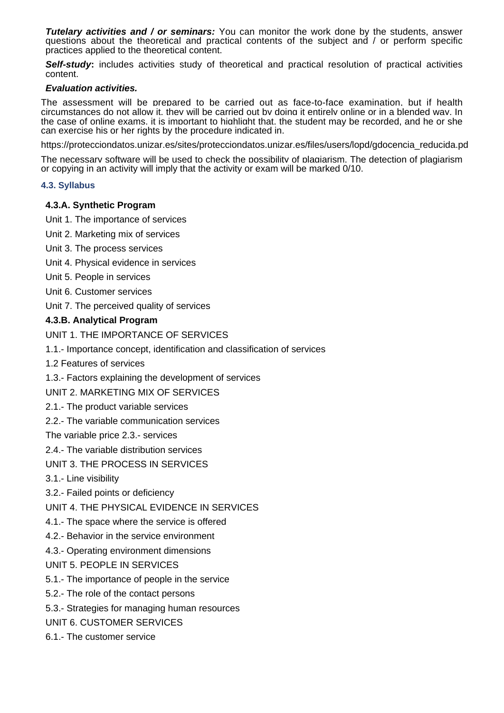*Tutelary activities and / or seminars:* You can monitor the work done by the students, answer questions about the theoretical and practical contents of the subject and / or perform specific practices applied to the theoretical content.

**Self-study:** includes activities study of theoretical and practical resolution of practical activities content.

### *Evaluation activities.*

The assessment will be prepared to be carried out as face-to-face examination, but if health circumstances do not allow it, they will be carried out by doing it entirely online or in a blended way. In the case of online exams, it is important to highlight that, the student may be recorded, and he or she can exercise his or her rights by the procedure indicated in.

https://protecciondatos.unizar.es/sites/protecciondatos.unizar.es/files/users/lopd/gdocencia\_reducida.pd

The necessary software will be used to check the possibility of plagiarism. The detection of plagiarism or copying in an activity will imply that the activity or exam will be marked 0/10.

### **4.3. Syllabus**

### **4.3.A. Synthetic Program**

- Unit 1. The importance of services
- Unit 2. Marketing mix of services
- Unit 3. The process services
- Unit 4. Physical evidence in services
- Unit 5. People in services
- Unit 6. Customer services
- Unit 7. The perceived quality of services

# **4.3.B. Analytical Program**

UNIT 1. THE IMPORTANCE OF SERVICES

- 1.1.- Importance concept, identification and classification of services
- 1.2 Features of services
- 1.3.- Factors explaining the development of services

UNIT 2. MARKETING MIX OF SERVICES

- 2.1.- The product variable services
- 2.2.- The variable communication services

The variable price 2.3.- services

- 2.4.- The variable distribution services
- UNIT 3. THE PROCESS IN SERVICES
- 3.1.- Line visibility
- 3.2.- Failed points or deficiency
- UNIT 4. THE PHYSICAL EVIDENCE IN SERVICES
- 4.1.- The space where the service is offered
- 4.2.- Behavior in the service environment
- 4.3.- Operating environment dimensions
- UNIT 5. PEOPLE IN SERVICES
- 5.1.- The importance of people in the service
- 5.2.- The role of the contact persons
- 5.3.- Strategies for managing human resources
- UNIT 6. CUSTOMER SERVICES
- 6.1.- The customer service